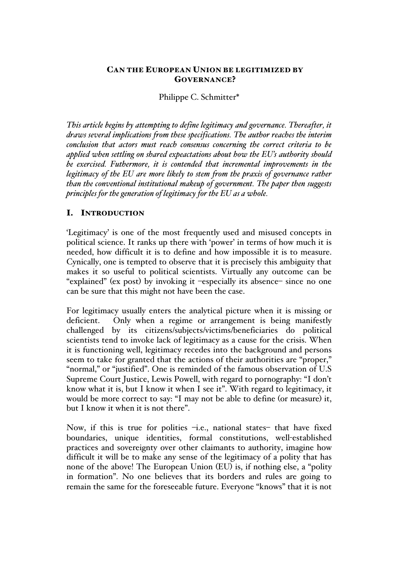## CAN THE EUROPEAN UNION BE LEGITIMIZED BY GOVERNANCE?

# Philippe C. Schmitter\*

*This article begins by attempting to define legitimacy and governance. Thereafter, it draws several implications from these specifications. The author reaches the interim conclusion that actors must reach consensus concerning the correct criteria to be applied when settling on shared expeactations about how the EU's authority should be exercised. Futhermore, it is contended that incremental improvements in the legitimacy of the EU are more likely to stem from the praxis of governance rather than the conventional institutional makeup of government. The paper then suggests principles for the generation of legitimacy for the EU as a whole.*

# I. INTRODUCTION

'Legitimacy' is one of the most frequently used and misused concepts in political science. It ranks up there with 'power' in terms of how much it is needed, how difficult it is to define and how impossible it is to measure. Cynically, one is tempted to observe that it is precisely this ambiguity that makes it so useful to political scientists. Virtually any outcome can be "explained" (ex post) by invoking it –especially its absence– since no one can be sure that this might not have been the case.

For legitimacy usually enters the analytical picture when it is missing or deficient. Only when a regime or arrangement is being manifestly challenged by its citizens/subjects/victims/beneficiaries do political scientists tend to invoke lack of legitimacy as a cause for the crisis. When it is functioning well, legitimacy recedes into the background and persons seem to take for granted that the actions of their authorities are "proper," "normal," or "justified". One is reminded of the famous observation of U.S Supreme Court Justice, Lewis Powell, with regard to pornography: "I don't know what it is, but I know it when I see it". With regard to legitimacy, it would be more correct to say: "I may not be able to define (or measure) it, but I know it when it is not there".

Now, if this is true for polities –i.e., national states– that have fixed boundaries, unique identities, formal constitutions, well-established practices and sovereignty over other claimants to authority, imagine how difficult it will be to make any sense of the legitimacy of a polity that has none of the above! The European Union (EU) is, if nothing else, a "polity in formation". No one believes that its borders and rules are going to remain the same for the foreseeable future. Everyone "knows" that it is not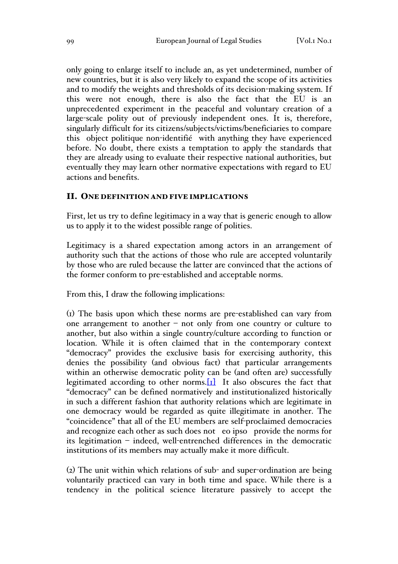only going to enlarge itself to include an, as yet undetermined, number of new countries, but it is also very likely to expand the scope of its activities and to modify the weights and thresholds of its decision-making system. If this were not enough, there is also the fact that the EU is an unprecedented experiment in the peaceful and voluntary creation of a large-scale polity out of previously independent ones. It is, therefore, singularly difficult for its citizens/subjects/victims/beneficiaries to compare this object politique non-identifié with anything they have experienced before. No doubt, there exists a temptation to apply the standards that they are already using to evaluate their respective national authorities, but eventually they may learn other normative expectations with regard to EU actions and benefits.

#### II. ONE DEFINITION AND FIVE IMPLICATIONS

First, let us try to define legitimacy in a way that is generic enough to allow us to apply it to the widest possible range of polities.

Legitimacy is a shared expectation among actors in an arrangement of authority such that the actions of those who rule are accepted voluntarily by those who are ruled because the latter are convinced that the actions of the former conform to pre-established and acceptable norms.

From this, I draw the following implications:

(1) The basis upon which these norms are pre-established can vary from one arrangement to another – not only from one country or culture to another, but also within a single country/culture according to function or location. While it is often claimed that in the contemporary context "democracy" provides the exclusive basis for exercising authority, this denies the possibility (and obvious fact) that particular arrangements within an otherwise democratic polity can be (and often are) successfully legitimated according to other norms. $[1]$  It also obscures the fact that "democracy" can be defined normatively and institutionalized historically in such a different fashion that authority relations which are legitimate in one democracy would be regarded as quite illegitimate in another. The "coincidence" that all of the EU members are self-proclaimed democracies and recognize each other as such does not eo ipso provide the norms for its legitimation – indeed, well-entrenched differences in the democratic institutions of its members may actually make it more difficult.

(2) The unit within which relations of sub- and super-ordination are being voluntarily practiced can vary in both time and space. While there is a tendency in the political science literature passively to accept the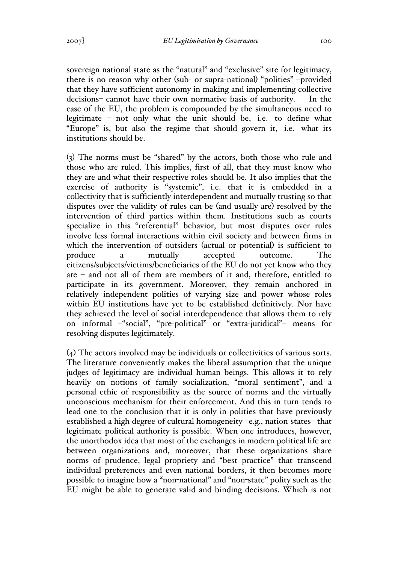sovereign national state as the "natural" and "exclusive" site for legitimacy, there is no reason why other (sub- or supra-national) "polities" –provided that they have sufficient autonomy in making and implementing collective decisions– cannot have their own normative basis of authority. In the case of the EU, the problem is compounded by the simultaneous need to legitimate – not only what the unit should be, i.e. to define what "Europe" is, but also the regime that should govern it, i.e. what its institutions should be.

(3) The norms must be "shared" by the actors, both those who rule and those who are ruled. This implies, first of all, that they must know who they are and what their respective roles should be. It also implies that the exercise of authority is "systemic", i.e. that it is embedded in a collectivity that is sufficiently interdependent and mutually trusting so that disputes over the validity of rules can be (and usually are) resolved by the intervention of third parties within them. Institutions such as courts specialize in this "referential" behavior, but most disputes over rules involve less formal interactions within civil society and between firms in which the intervention of outsiders (actual or potential) is sufficient to produce a mutually accepted outcome. The citizens/subjects/victims/beneficiaries of the EU do not yet know who they are – and not all of them are members of it and, therefore, entitled to participate in its government. Moreover, they remain anchored in relatively independent polities of varying size and power whose roles within EU institutions have yet to be established definitively. Nor have they achieved the level of social interdependence that allows them to rely on informal -"social", "pre-political" or "extra-juridical"- means for resolving disputes legitimately.

(4) The actors involved may be individuals or collectivities of various sorts. The literature conveniently makes the liberal assumption that the unique judges of legitimacy are individual human beings. This allows it to rely heavily on notions of family socialization, "moral sentiment", and a personal ethic of responsibility as the source of norms and the virtually unconscious mechanism for their enforcement. And this in turn tends to lead one to the conclusion that it is only in polities that have previously established a high degree of cultural homogeneity –e.g., nation-states– that legitimate political authority is possible. When one introduces, however, the unorthodox idea that most of the exchanges in modern political life are between organizations and, moreover, that these organizations share norms of prudence, legal propriety and "best practice" that transcend individual preferences and even national borders, it then becomes more possible to imagine how a "non-national" and "non-state" polity such as the EU might be able to generate valid and binding decisions. Which is not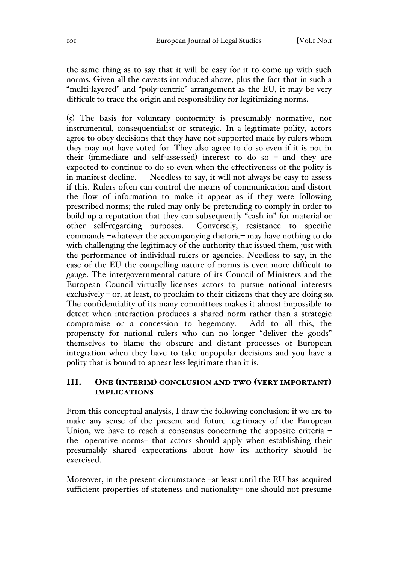the same thing as to say that it will be easy for it to come up with such norms. Given all the caveats introduced above, plus the fact that in such a "multi-layered" and "poly-centric" arrangement as the EU, it may be very difficult to trace the origin and responsibility for legitimizing norms.

(5) The basis for voluntary conformity is presumably normative, not instrumental, consequentialist or strategic. In a legitimate polity, actors agree to obey decisions that they have not supported made by rulers whom they may not have voted for. They also agree to do so even if it is not in their (immediate and self-assessed) interest to do so – and they are expected to continue to do so even when the effectiveness of the polity is in manifest decline. Needless to say, it will not always be easy to assess if this. Rulers often can control the means of communication and distort the flow of information to make it appear as if they were following prescribed norms; the ruled may only be pretending to comply in order to build up a reputation that they can subsequently "cash in" for material or other self-regarding purposes. Conversely, resistance to specific commands –whatever the accompanying rhetoric– may have nothing to do with challenging the legitimacy of the authority that issued them, just with the performance of individual rulers or agencies. Needless to say, in the case of the EU the compelling nature of norms is even more difficult to gauge. The intergovernmental nature of its Council of Ministers and the European Council virtually licenses actors to pursue national interests exclusively – or, at least, to proclaim to their citizens that they are doing so. The confidentiality of its many committees makes it almost impossible to detect when interaction produces a shared norm rather than a strategic compromise or a concession to hegemony. Add to all this, the propensity for national rulers who can no longer "deliver the goods" themselves to blame the obscure and distant processes of European integration when they have to take unpopular decisions and you have a polity that is bound to appear less legitimate than it is.

## III. ONE (INTERIM) CONCLUSION AND TWO (VERY IMPORTANT) IMPLICATIONS

From this conceptual analysis, I draw the following conclusion: if we are to make any sense of the present and future legitimacy of the European Union, we have to reach a consensus concerning the apposite criteria – the operative norms– that actors should apply when establishing their presumably shared expectations about how its authority should be exercised.

Moreover, in the present circumstance –at least until the EU has acquired sufficient properties of stateness and nationality– one should not presume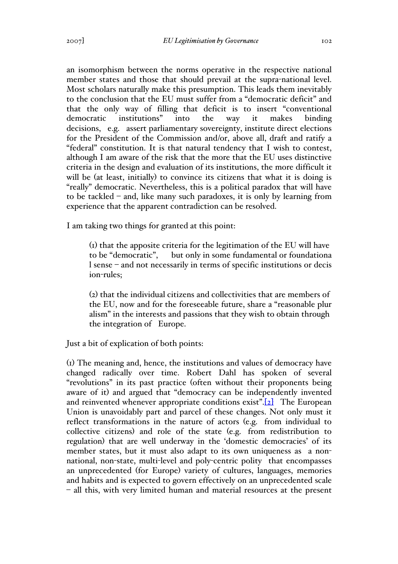an isomorphism between the norms operative in the respective national member states and those that should prevail at the supra-national level. Most scholars naturally make this presumption. This leads them inevitably to the conclusion that the EU must suffer from a "democratic deficit" and that the only way of filling that deficit is to insert "conventional democratic institutions" into the way it makes binding decisions, e.g. assert parliamentary sovereignty, institute direct elections for the President of the Commission and/or, above all, draft and ratify a "federal" constitution. It is that natural tendency that I wish to contest, although I am aware of the risk that the more that the EU uses distinctive criteria in the design and evaluation of its institutions, the more difficult it will be (at least, initially) to convince its citizens that what it is doing is "really" democratic. Nevertheless, this is a political paradox that will have to be tackled – and, like many such paradoxes, it is only by learning from experience that the apparent contradiction can be resolved.

I am taking two things for granted at this point:

(1) that the apposite criteria for the legitimation of the EU will have to be "democratic", but only in some fundamental or foundationa l sense – and not necessarily in terms of specific institutions or decis ion-rules;

(2) that the individual citizens and collectivities that are members of the EU, now and for the foreseeable future, share a "reasonable plur alism" in the interests and passions that they wish to obtain through the integration of Europe.

Just a bit of explication of both points:

(1) The meaning and, hence, the institutions and values of democracy have changed radically over time. Robert Dahl has spoken of several "revolutions" in its past practice (often without their proponents being aware of it) and argued that "democracy can be independently invented and reinvented whenever appropriate conditions exist".<sup>[2]</sup> The European Union is unavoidably part and parcel of these changes. Not only must it reflect transformations in the nature of actors (e.g. from individual to collective citizens) and role of the state (e.g. from redistribution to regulation) that are well underway in the 'domestic democracies' of its member states, but it must also adapt to its own uniqueness as a nonnational, non-state, multi-level and poly-centric polity that encompasses an unprecedented (for Europe) variety of cultures, languages, memories and habits and is expected to govern effectively on an unprecedented scale – all this, with very limited human and material resources at the present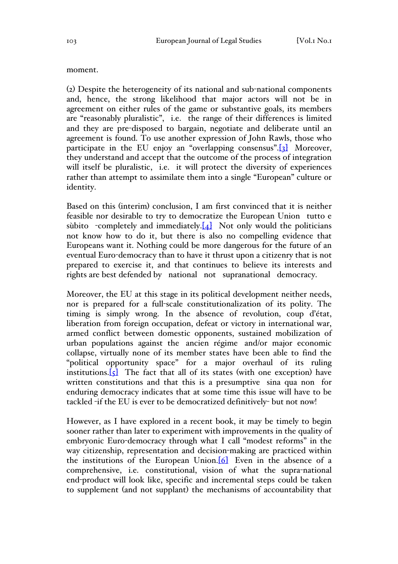moment.

(2) Despite the heterogeneity of its national and sub-national components and, hence, the strong likelihood that major actors will not be in agreement on either rules of the game or substantive goals, its members are "reasonably pluralistic", i.e. the range of their differences is limited and they are pre-disposed to bargain, negotiate and deliberate until an agreement is found. To use another expression of John Rawls, those who participate in the EU enjoy an "overlapping consensus". $[3]$  Moreover, they understand and accept that the outcome of the process of integration will itself be pluralistic, i.e. it will protect the diversity of experiences rather than attempt to assimilate them into a single "European" culture or identity.

Based on this (interim) conclusion, I am first convinced that it is neither feasible nor desirable to try to democratize the European Union tutto e sùbito -completely and immediately. $[4]$  Not only would the politicians not know how to do it, but there is also no compelling evidence that Europeans want it. Nothing could be more dangerous for the future of an eventual Euro-democracy than to have it thrust upon a citizenry that is not prepared to exercise it, and that continues to believe its interests and rights are best defended by national not supranational democracy.

Moreover, the EU at this stage in its political development neither needs, nor is prepared for a full-scale constitutionalization of its polity. The timing is simply wrong. In the absence of revolution, coup d'état, liberation from foreign occupation, defeat or victory in international war, armed conflict between domestic opponents, sustained mobilization of urban populations against the ancien régime and/or major economic collapse, virtually none of its member states have been able to find the "political opportunity space" for a major overhaul of its ruling institutions. $\begin{bmatrix} \xi \end{bmatrix}$  The fact that all of its states (with one exception) have written constitutions and that this is a presumptive sina qua non for enduring democracy indicates that at some time this issue will have to be tackled -if the EU is ever to be democratized definitively- but not now!

However, as I have explored in a recent book, it may be timely to begin sooner rather than later to experiment with improvements in the quality of embryonic Euro-democracy through what I call "modest reforms" in the way citizenship, representation and decision-making are practiced within the institutions of the European Union. $[6]$  Even in the absence of a comprehensive, i.e. constitutional, vision of what the supra-national end-product will look like, specific and incremental steps could be taken to supplement (and not supplant) the mechanisms of accountability that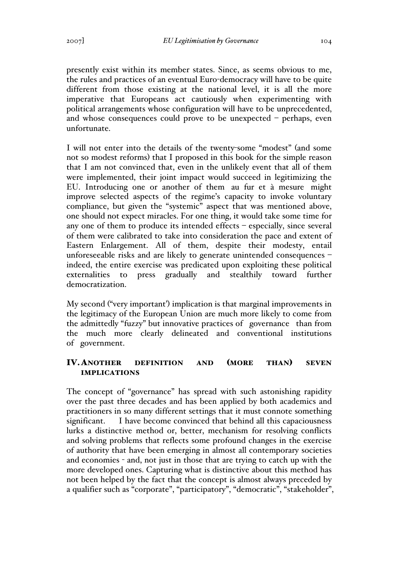presently exist within its member states. Since, as seems obvious to me, the rules and practices of an eventual Euro-democracy will have to be quite different from those existing at the national level, it is all the more imperative that Europeans act cautiously when experimenting with political arrangements whose configuration will have to be unprecedented, and whose consequences could prove to be unexpected – perhaps, even unfortunate.

I will not enter into the details of the twenty-some "modest" (and some not so modest reforms) that I proposed in this book for the simple reason that I am not convinced that, even in the unlikely event that all of them were implemented, their joint impact would succeed in legitimizing the EU. Introducing one or another of them au fur et à mesure might improve selected aspects of the regime's capacity to invoke voluntary compliance, but given the "systemic" aspect that was mentioned above, one should not expect miracles. For one thing, it would take some time for any one of them to produce its intended effects – especially, since several of them were calibrated to take into consideration the pace and extent of Eastern Enlargement. All of them, despite their modesty, entail unforeseeable risks and are likely to generate unintended consequences – indeed, the entire exercise was predicated upon exploiting these political externalities to press gradually and stealthily toward further democratization.

My second ("very important') implication is that marginal improvements in the legitimacy of the European Union are much more likely to come from the admittedly "fuzzy" but innovative practices of governance than from the much more clearly delineated and conventional institutions of government.

## IV.ANOTHER DEFINITION AND (MORE THAN) SEVEN IMPLICATIONS

The concept of "governance" has spread with such astonishing rapidity over the past three decades and has been applied by both academics and practitioners in so many different settings that it must connote something significant. I have become convinced that behind all this capaciousness lurks a distinctive method or, better, mechanism for resolving conflicts and solving problems that reflects some profound changes in the exercise of authority that have been emerging in almost all contemporary societies and economies - and, not just in those that are trying to catch up with the more developed ones. Capturing what is distinctive about this method has not been helped by the fact that the concept is almost always preceded by a qualifier such as "corporate", "participatory", "democratic", "stakeholder",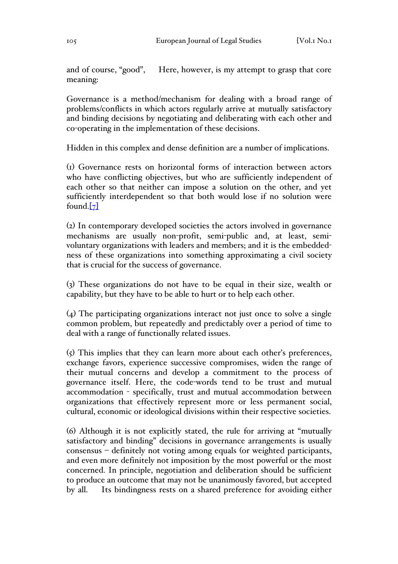and of course, "good", Here, however, is my attempt to grasp that core meaning:

Governance is a method/mechanism for dealing with a broad range of problems/conflicts in which actors regularly arrive at mutually satisfactory and binding decisions by negotiating and deliberating with each other and co-operating in the implementation of these decisions.

Hidden in this complex and dense definition are a number of implications.

(1) Governance rests on horizontal forms of interaction between actors who have conflicting objectives, but who are sufficiently independent of each other so that neither can impose a solution on the other, and yet sufficiently interdependent so that both would lose if no solution were found. $[7]$ 

(2) In contemporary developed societies the actors involved in governance mechanisms are usually non-profit, semi-public and, at least, semivoluntary organizations with leaders and members; and it is the embeddedness of these organizations into something approximating a civil society that is crucial for the success of governance.

(3) These organizations do not have to be equal in their size, wealth or capability, but they have to be able to hurt or to help each other.

(4) The participating organizations interact not just once to solve a single common problem, but repeatedly and predictably over a period of time to deal with a range of functionally related issues.

(5) This implies that they can learn more about each other's preferences, exchange favors, experience successive compromises, widen the range of their mutual concerns and develop a commitment to the process of governance itself. Here, the code-words tend to be trust and mutual accommodation - specifically, trust and mutual accommodation between organizations that effectively represent more or less permanent social, cultural, economic or ideological divisions within their respective societies.

(6) Although it is not explicitly stated, the rule for arriving at "mutually satisfactory and binding" decisions in governance arrangements is usually consensus – definitely not voting among equals (or weighted participants, and even more definitely not imposition by the most powerful or the most concerned. In principle, negotiation and deliberation should be sufficient to produce an outcome that may not be unanimously favored, but accepted by all. Its bindingness rests on a shared preference for avoiding either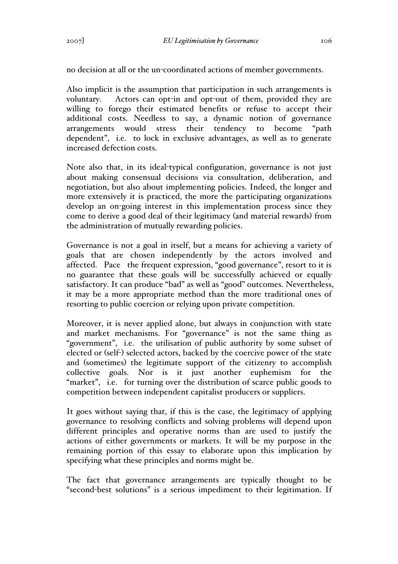no decision at all or the un-coordinated actions of member governments.

Also implicit is the assumption that participation in such arrangements is voluntary. Actors can opt-in and opt-out of them, provided they are willing to forego their estimated benefits or refuse to accept their additional costs. Needless to say, a dynamic notion of governance arrangements would stress their tendency to become "path dependent", i.e. to lock in exclusive advantages, as well as to generate increased defection costs.

Note also that, in its ideal-typical configuration, governance is not just about making consensual decisions via consultation, deliberation, and negotiation, but also about implementing policies. Indeed, the longer and more extensively it is practiced, the more the participating organizations develop an on-going interest in this implementation process since they come to derive a good deal of their legitimacy (and material rewards) from the administration of mutually rewarding policies.

Governance is not a goal in itself, but a means for achieving a variety of goals that are chosen independently by the actors involved and affected. Pace the frequent expression, "good governance", resort to it is no guarantee that these goals will be successfully achieved or equally satisfactory. It can produce "bad" as well as "good" outcomes. Nevertheless, it may be a more appropriate method than the more traditional ones of resorting to public coercion or relying upon private competition.

Moreover, it is never applied alone, but always in conjunction with state and market mechanisms. For "governance" is not the same thing as "government", i.e. the utilisation of public authority by some subset of elected or (self-) selected actors, backed by the coercive power of the state and (sometimes) the legitimate support of the citizenry to accomplish collective goals. Nor is it just another euphemism for the "market", i.e. for turning over the distribution of scarce public goods to competition between independent capitalist producers or suppliers.

It goes without saying that, if this is the case, the legitimacy of applying governance to resolving conflicts and solving problems will depend upon different principles and operative norms than are used to justify the actions of either governments or markets. It will be my purpose in the remaining portion of this essay to elaborate upon this implication by specifying what these principles and norms might be.

The fact that governance arrangements are typically thought to be "second-best solutions" is a serious impediment to their legitimation. If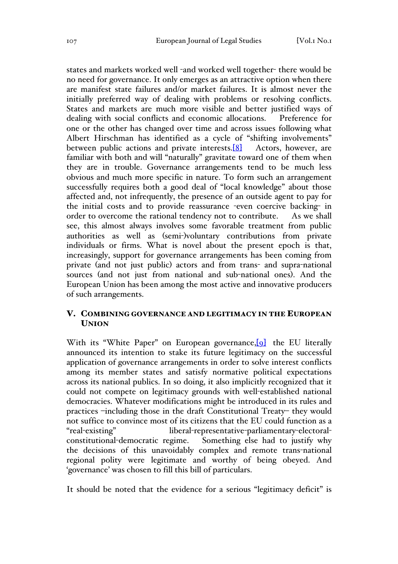states and markets worked well -and worked well together- there would be no need for governance. It only emerges as an attractive option when there are manifest state failures and/or market failures. It is almost never the initially preferred way of dealing with problems or resolving conflicts. States and markets are much more visible and better justified ways of dealing with social conflicts and economic allocations. Preference for one or the other has changed over time and across issues following what Albert Hirschman has identified as a cycle of "shifting involvements" between public actions and private interests.<sup>[8]</sup> Actors, however, are familiar with both and will "naturally" gravitate toward one of them when they are in trouble. Governance arrangements tend to be much less obvious and much more specific in nature. To form such an arrangement successfully requires both a good deal of "local knowledge" about those affected and, not infrequently, the presence of an outside agent to pay for the initial costs and to provide reassurance -even coercive backing- in order to overcome the rational tendency not to contribute. As we shall see, this almost always involves some favorable treatment from public authorities as well as (semi-)voluntary contributions from private individuals or firms. What is novel about the present epoch is that, increasingly, support for governance arrangements has been coming from private (and not just public) actors and from trans- and supra-national sources (and not just from national and sub-national ones). And the European Union has been among the most active and innovative producers of such arrangements.

## V. COMBINING GOVERNANCE AND LEGITIMACY IN THE EUROPEAN UNION

With its "White Paper" on European governance, [9] the EU literally announced its intention to stake its future legitimacy on the successful application of governance arrangements in order to solve interest conflicts among its member states and satisfy normative political expectations across its national publics. In so doing, it also implicitly recognized that it could not compete on legitimacy grounds with well-established national democracies. Whatever modifications might be introduced in its rules and practices –including those in the draft Constitutional Treaty– they would not suffice to convince most of its citizens that the EU could function as a "real-existing" liberal-representative-parliamentary-electoralconstitutional-democratic regime. Something else had to justify why the decisions of this unavoidably complex and remote trans-national regional polity were legitimate and worthy of being obeyed. And 'governance' was chosen to fill this bill of particulars.

It should be noted that the evidence for a serious "legitimacy deficit" is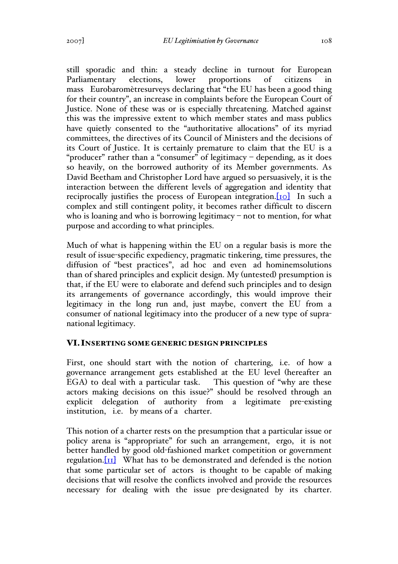still sporadic and thin: a steady decline in turnout for European Parliamentary elections, lower proportions of citizens in mass Eurobaromètresurveys declaring that "the EU has been a good thing for their country", an increase in complaints before the European Court of Justice. None of these was or is especially threatening. Matched against this was the impressive extent to which member states and mass publics have quietly consented to the "authoritative allocations" of its myriad committees, the directives of its Council of Ministers and the decisions of its Court of Justice. It is certainly premature to claim that the EU is a "producer" rather than a "consumer" of legitimacy – depending, as it does so heavily, on the borrowed authority of its Member governments. As David Beetham and Christopher Lord have argued so persuasively, it is the interaction between the different levels of aggregation and identity that reciprocally justifies the process of European integration.<sup>[10]</sup> In such a complex and still contingent polity, it becomes rather difficult to discern who is loaning and who is borrowing legitimacy – not to mention, for what purpose and according to what principles.

Much of what is happening within the EU on a regular basis is more the result of issue-specific expediency, pragmatic tinkering, time pressures, the diffusion of "best practices", ad hoc and even ad hominemsolutions than of shared principles and explicit design. My (untested) presumption is that, if the EU were to elaborate and defend such principles and to design its arrangements of governance accordingly, this would improve their legitimacy in the long run and, just maybe, convert the EU from a consumer of national legitimacy into the producer of a new type of supranational legitimacy.

### VI.INSERTING SOME GENERIC DESIGN PRINCIPLES

First, one should start with the notion of chartering, i.e. of how a governance arrangement gets established at the EU level (hereafter an EGA) to deal with a particular task. This question of "why are these actors making decisions on this issue?" should be resolved through an explicit delegation of authority from a legitimate pre-existing institution, i.e. by means of a charter.

This notion of a charter rests on the presumption that a particular issue or policy arena is "appropriate" for such an arrangement, ergo, it is not better handled by good old-fashioned market competition or government regulation. $\boxed{11}$  What has to be demonstrated and defended is the notion that some particular set of actors is thought to be capable of making decisions that will resolve the conflicts involved and provide the resources necessary for dealing with the issue pre-designated by its charter.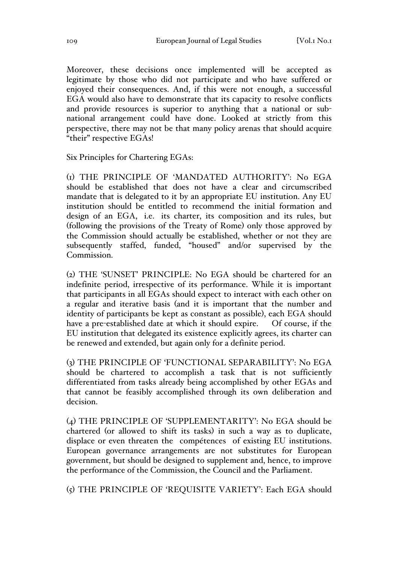Moreover, these decisions once implemented will be accepted as legitimate by those who did not participate and who have suffered or enjoyed their consequences. And, if this were not enough, a successful EGA would also have to demonstrate that its capacity to resolve conflicts and provide resources is superior to anything that a national or subnational arrangement could have done. Looked at strictly from this perspective, there may not be that many policy arenas that should acquire "their" respective EGAs!

Six Principles for Chartering EGAs:

(1) THE PRINCIPLE OF 'MANDATED AUTHORITY': No EGA should be established that does not have a clear and circumscribed mandate that is delegated to it by an appropriate EU institution. Any EU institution should be entitled to recommend the initial formation and design of an EGA, i.e. its charter, its composition and its rules, but (following the provisions of the Treaty of Rome) only those approved by the Commission should actually be established, whether or not they are subsequently staffed, funded, "housed" and/or supervised by the Commission.

(2) THE 'SUNSET' PRINCIPLE: No EGA should be chartered for an indefinite period, irrespective of its performance. While it is important that participants in all EGAs should expect to interact with each other on a regular and iterative basis (and it is important that the number and identity of participants be kept as constant as possible), each EGA should have a pre-established date at which it should expire. Of course, if the EU institution that delegated its existence explicitly agrees, its charter can be renewed and extended, but again only for a definite period.

(3) THE PRINCIPLE OF 'FUNCTIONAL SEPARABILITY': No EGA should be chartered to accomplish a task that is not sufficiently differentiated from tasks already being accomplished by other EGAs and that cannot be feasibly accomplished through its own deliberation and decision.

(4) THE PRINCIPLE OF 'SUPPLEMENTARITY': No EGA should be chartered (or allowed to shift its tasks) in such a way as to duplicate, displace or even threaten the compétences of existing EU institutions. European governance arrangements are not substitutes for European government, but should be designed to supplement and, hence, to improve the performance of the Commission, the Council and the Parliament.

(5) THE PRINCIPLE OF 'REQUISITE VARIETY': Each EGA should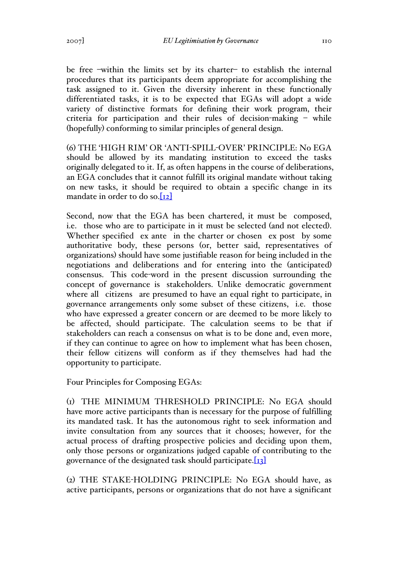be free –within the limits set by its charter– to establish the internal procedures that its participants deem appropriate for accomplishing the task assigned to it. Given the diversity inherent in these functionally differentiated tasks, it is to be expected that EGAs will adopt a wide variety of distinctive formats for defining their work program, their criteria for participation and their rules of decision-making – while (hopefully) conforming to similar principles of general design.

(6) THE 'HIGH RIM' OR 'ANTI-SPILL-OVER' PRINCIPLE: No EGA should be allowed by its mandating institution to exceed the tasks originally delegated to it. If, as often happens in the course of deliberations, an EGA concludes that it cannot fulfill its original mandate without taking on new tasks, it should be required to obtain a specific change in its mandate in order to do so. $[12]$ 

Second, now that the EGA has been chartered, it must be composed, i.e. those who are to participate in it must be selected (and not elected). Whether specified ex ante in the charter or chosen ex post by some authoritative body, these persons (or, better said, representatives of organizations) should have some justifiable reason for being included in the negotiations and deliberations and for entering into the (anticipated) consensus. This code-word in the present discussion surrounding the concept of governance is stakeholders. Unlike democratic government where all citizens are presumed to have an equal right to participate, in governance arrangements only some subset of these citizens, i.e. those who have expressed a greater concern or are deemed to be more likely to be affected, should participate. The calculation seems to be that if stakeholders can reach a consensus on what is to be done and, even more, if they can continue to agree on how to implement what has been chosen, their fellow citizens will conform as if they themselves had had the opportunity to participate.

Four Principles for Composing EGAs:

(1) THE MINIMUM THRESHOLD PRINCIPLE: No EGA should have more active participants than is necessary for the purpose of fulfilling its mandated task. It has the autonomous right to seek information and invite consultation from any sources that it chooses; however, for the actual process of drafting prospective policies and deciding upon them, only those persons or organizations judged capable of contributing to the governance of the designated task should participate. $[13]$ 

(2) THE STAKE-HOLDING PRINCIPLE: No EGA should have, as active participants, persons or organizations that do not have a significant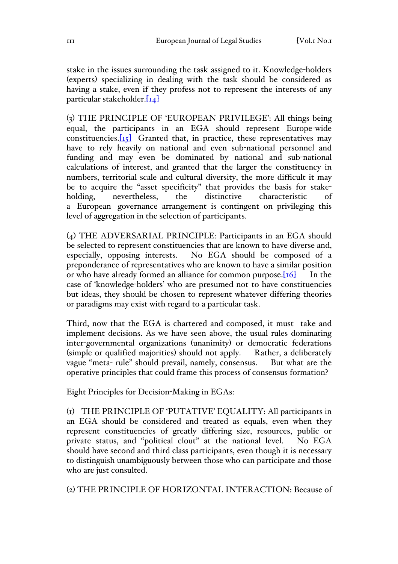stake in the issues surrounding the task assigned to it. Knowledge-holders (experts) specializing in dealing with the task should be considered as having a stake, even if they profess not to represent the interests of any particular stakeholder. $[14]$ 

(3) THE PRINCIPLE OF 'EUROPEAN PRIVILEGE': All things being equal, the participants in an EGA should represent Europe-wide constituencies. $[15]$  Granted that, in practice, these representatives may have to rely heavily on national and even sub-national personnel and funding and may even be dominated by national and sub-national calculations of interest, and granted that the larger the constituency in numbers, territorial scale and cultural diversity, the more difficult it may be to acquire the "asset specificity" that provides the basis for stakeholding, nevertheless, the distinctive characteristic of a European governance arrangement is contingent on privileging this level of aggregation in the selection of participants.

(4) THE ADVERSARIAL PRINCIPLE: Participants in an EGA should be selected to represent constituencies that are known to have diverse and, especially, opposing interests. No EGA should be composed of a preponderance of representatives who are known to have a similar position or who have already formed an alliance for common purpose. $[16]$  In the case of 'knowledge-holders' who are presumed not to have constituencies but ideas, they should be chosen to represent whatever differing theories or paradigms may exist with regard to a particular task.

Third, now that the EGA is chartered and composed, it must take and implement decisions. As we have seen above, the usual rules dominating inter-governmental organizations (unanimity) or democratic federations (simple or qualified majorities) should not apply. Rather, a deliberately vague "meta- rule" should prevail, namely, consensus. But what are the operative principles that could frame this process of consensus formation?

Eight Principles for Decision-Making in EGAs:

(1) THE PRINCIPLE OF 'PUTATIVE' EQUALITY: All participants in an EGA should be considered and treated as equals, even when they represent constituencies of greatly differing size, resources, public or private status, and "political clout" at the national level. No EGA should have second and third class participants, even though it is necessary to distinguish unambiguously between those who can participate and those who are just consulted.

(2) THE PRINCIPLE OF HORIZONTAL INTERACTION: Because of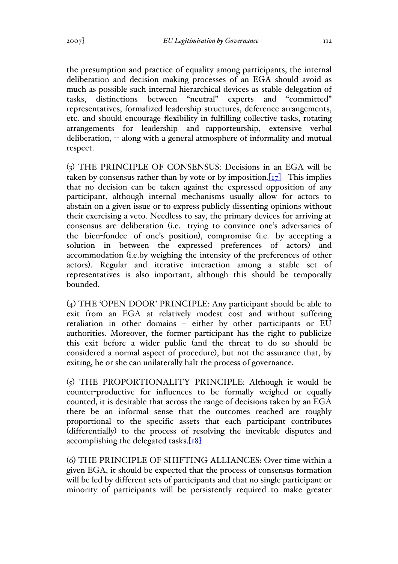the presumption and practice of equality among participants, the internal deliberation and decision making processes of an EGA should avoid as much as possible such internal hierarchical devices as stable delegation of tasks, distinctions between "neutral" experts and "committed" representatives, formalized leadership structures, deference arrangements, etc. and should encourage flexibility in fulfilling collective tasks, rotating arrangements for leadership and rapporteurship, extensive verbal deliberation, -- along with a general atmosphere of informality and mutual respect.

(3) THE PRINCIPLE OF CONSENSUS: Decisions in an EGA will be taken by consensus rather than by vote or by imposition. $\boxed{17}$  This implies that no decision can be taken against the expressed opposition of any participant, although internal mechanisms usually allow for actors to abstain on a given issue or to express publicly dissenting opinions without their exercising a veto. Needless to say, the primary devices for arriving at consensus are deliberation (i.e. trying to convince one's adversaries of the bien-fondee of one's position), compromise (i.e. by accepting a solution in between the expressed preferences of actors) and accommodation (i.e.by weighing the intensity of the preferences of other actors). Regular and iterative interaction among a stable set of representatives is also important, although this should be temporally bounded.

(4) THE 'OPEN DOOR' PRINCIPLE: Any participant should be able to exit from an EGA at relatively modest cost and without suffering retaliation in other domains – either by other participants or EU authorities. Moreover, the former participant has the right to publicize this exit before a wider public (and the threat to do so should be considered a normal aspect of procedure), but not the assurance that, by exiting, he or she can unilaterally halt the process of governance.

(5) THE PROPORTIONALITY PRINCIPLE: Although it would be counter-productive for influences to be formally weighed or equally counted, it is desirable that across the range of decisions taken by an EGA there be an informal sense that the outcomes reached are roughly proportional to the specific assets that each participant contributes (differentially) to the process of resolving the inevitable disputes and accomplishing the delegated tasks. $[18]$ 

(6) THE PRINCIPLE OF SHIFTING ALLIANCES: Over time within a given EGA, it should be expected that the process of consensus formation will be led by different sets of participants and that no single participant or minority of participants will be persistently required to make greater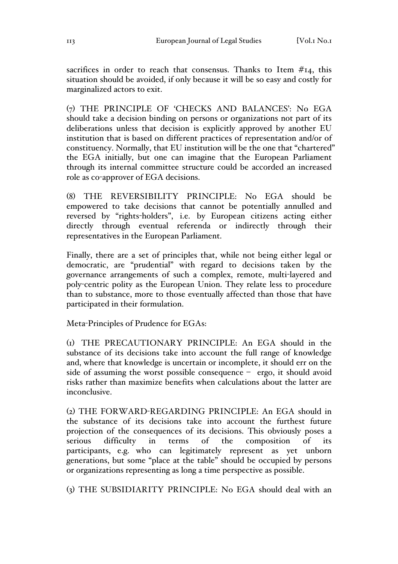sacrifices in order to reach that consensus. Thanks to Item  $#_{14}$ , this situation should be avoided, if only because it will be so easy and costly for marginalized actors to exit.

(7) THE PRINCIPLE OF 'CHECKS AND BALANCES': No EGA should take a decision binding on persons or organizations not part of its deliberations unless that decision is explicitly approved by another EU institution that is based on different practices of representation and/or of constituency. Normally, that EU institution will be the one that "chartered" the EGA initially, but one can imagine that the European Parliament through its internal committee structure could be accorded an increased role as co-approver of EGA decisions.

(8) THE REVERSIBILITY PRINCIPLE: No EGA should be empowered to take decisions that cannot be potentially annulled and reversed by "rights-holders", i.e. by European citizens acting either directly through eventual referenda or indirectly through their representatives in the European Parliament.

Finally, there are a set of principles that, while not being either legal or democratic, are "prudential" with regard to decisions taken by the governance arrangements of such a complex, remote, multi-layered and poly-centric polity as the European Union. They relate less to procedure than to substance, more to those eventually affected than those that have participated in their formulation.

Meta-Principles of Prudence for EGAs:

(1) THE PRECAUTIONARY PRINCIPLE: An EGA should in the substance of its decisions take into account the full range of knowledge and, where that knowledge is uncertain or incomplete, it should err on the side of assuming the worst possible consequence – ergo, it should avoid risks rather than maximize benefits when calculations about the latter are inconclusive.

(2) THE FORWARD-REGARDING PRINCIPLE: An EGA should in the substance of its decisions take into account the furthest future projection of the consequences of its decisions. This obviously poses a serious difficulty in terms of the composition of its participants, e.g. who can legitimately represent as yet unborn generations, but some "place at the table" should be occupied by persons or organizations representing as long a time perspective as possible.

(3) THE SUBSIDIARITY PRINCIPLE: No EGA should deal with an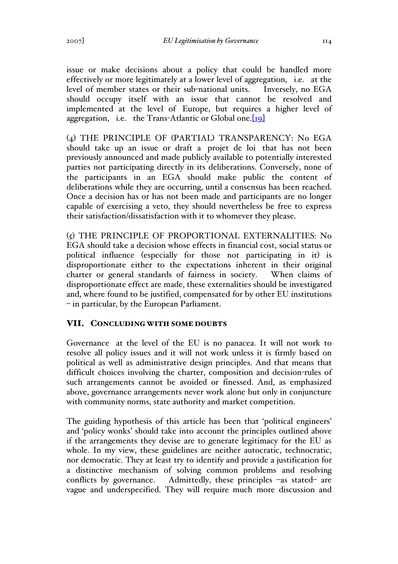issue or make decisions about a policy that could be handled more effectively or more legitimately at a lower level of aggregation, i.e. at the level of member states or their sub-national units. Inversely, no EGA should occupy itself with an issue that cannot be resolved and implemented at the level of Europe, but requires a higher level of aggregation, i.e. the Trans-Atlantic or Global one.<sup>[19]</sup>

(4) THE PRINCIPLE OF (PARTIAL) TRANSPARENCY: No EGA should take up an issue or draft a projet de loi that has not been previously announced and made publicly available to potentially interested parties not participating directly in its deliberations. Conversely, none of the participants in an EGA should make public the content of deliberations while they are occurring, until a consensus has been reached. Once a decision has or has not been made and participants are no longer capable of exercising a veto, they should nevertheless be free to express their satisfaction/dissatisfaction with it to whomever they please.

(5) THE PRINCIPLE OF PROPORTIONAL EXTERNALITIES: No EGA should take a decision whose effects in financial cost, social status or political influence (especially for those not participating in it) is disproportionate either to the expectations inherent in their original charter or general standards of fairness in society. When claims of disproportionate effect are made, these externalities should be investigated and, where found to be justified, compensated for by other EU institutions – in particular, by the European Parliament.

### VII. CONCLUDING WITH SOME DOUBTS

Governance at the level of the EU is no panacea. It will not work to resolve all policy issues and it will not work unless it is firmly based on political as well as administrative design principles. And that means that difficult choices involving the charter, composition and decision-rules of such arrangements cannot be avoided or finessed. And, as emphasized above, governance arrangements never work alone but only in conjuncture with community norms, state authority and market competition.

The guiding hypothesis of this article has been that 'political engineers' and 'policy wonks' should take into account the principles outlined above if the arrangements they devise are to generate legitimacy for the EU as whole. In my view, these guidelines are neither autocratic, technocratic, nor democratic. They at least try to identify and provide a justification for a distinctive mechanism of solving common problems and resolving conflicts by governance. Admittedly, these principles –as stated– are vague and underspecified. They will require much more discussion and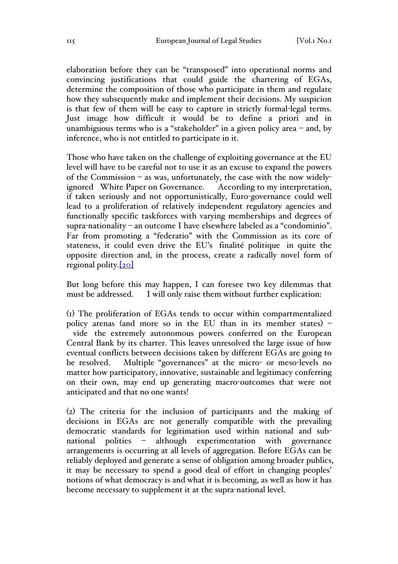elaboration before they can be "transposed" into operational norms and convincing justifications that could guide the chartering of EGAs, determine the composition of those who participate in them and regulate how they subsequently make and implement their decisions. My suspicion is that few of them will be easy to capture in strictly formal-legal terms. Just image how difficult it would be to define a priori and in unambiguous terms who is a "stakeholder" in a given policy area  $-$  and, by inference, who is not entitled to participate in it.

Those who have taken on the challenge of exploiting governance at the EU level will have to be careful not to use it as an excuse to expand the powers of the Commission – as was, unfortunately, the case with the now widelyignored White Paper on Governance. According to my interpretation, if taken seriously and not opportunistically, Euro-governance could well lead to a proliferation of relatively independent regulatory agencies and functionally specific taskforces with varying memberships and degrees of supra-nationality – an outcome I have elsewhere labeled as a "condominio". Far from promoting a "federatio" with the Commission as its core of stateness, it could even drive the EU's finalité politique in quite the opposite direction and, in the process, create a radically novel form of regional polity.<sup>[20]</sup>

But long before this may happen, I can foresee two key dilemmas that must be addressed. I will only raise them without further explication:

(1) The proliferation of EGAs tends to occur within compartmentalized policy arenas (and more so in the EU than in its member states) – vide the extremely autonomous powers conferred on the European Central Bank by its charter. This leaves unresolved the large issue of how eventual conflicts between decisions taken by different EGAs are going to be resolved. Multiple "governances" at the micro- or meso-levels no matter how participatory, innovative, sustainable and legitimacy conferring on their own, may end up generating macro-outcomes that were not anticipated and that no one wants!

(2) The criteria for the inclusion of participants and the making of decisions in EGAs are not generally compatible with the prevailing democratic standards for legitimation used within national and subnational polities – although experimentation with governance arrangements is occurring at all levels of aggregation. Before EGAs can be reliably deployed and generate a sense of obligation among broader publics, it may be necessary to spend a good deal of effort in changing peoples' notions of what democracy is and what it is becoming, as well as how it has become necessary to supplement it at the supra-national level.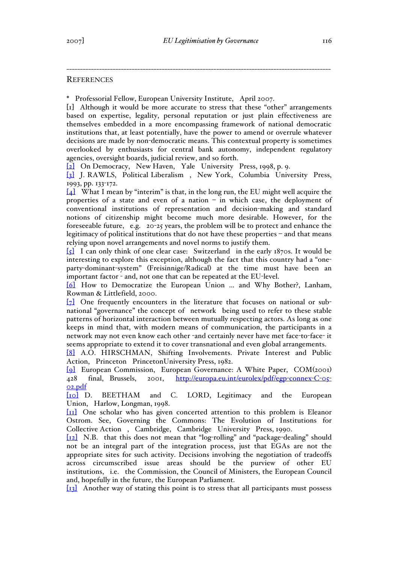#### **REFERENCES**

\* Professorial Fellow, European University Institute, April 2007.

[1] Although it would be more accurate to stress that these "other" arrangements based on expertise, legality, personal reputation or just plain effectiveness are themselves embedded in a more encompassing framework of national democratic institutions that, at least potentially, have the power to amend or overrule whatever decisions are made by non-democratic means. This contextual property is sometimes overlooked by enthusiasts for central bank autonomy, independent regulatory agencies, oversight boards, judicial review, and so forth.

-------------------------------------------------------------------------------------------------

[2] On Democracy, New Haven, Yale University Press, 1998, p. 9.

[3] J. RAWLS, Political Liberalism , New York, Columbia University Press, 1993, pp. 133-172.

[4] What I mean by "interim" is that, in the long run, the EU might well acquire the properties of a state and even of a nation – in which case, the deployment of conventional institutions of representation and decision-making and standard notions of citizenship might become much more desirable. However, for the foreseeable future, e.g. 20-25 years, the problem will be to protect and enhance the legitimacy of political institutions that do not have these properties – and that means relying upon novel arrangements and novel norms to justify them.

[5] I can only think of one clear case: Switzerland in the early 1870s. It would be interesting to explore this exception, although the fact that this country had a "oneparty-dominant-system" (Freisinnige/Radical) at the time must have been an important factor - and, not one that can be repeated at the EU-level.

[6] How to Democratize the European Union … and Why Bother?, Lanham, Rowman & Littlefield, 2000.

[7] One frequently encounters in the literature that focuses on national or subnational "governance" the concept of network being used to refer to these stable patterns of horizontal interaction between mutually respecting actors. As long as one keeps in mind that, with modern means of communication, the participants in a network may not even know each other -and certainly never have met face-to-face- it seems appropriate to extend it to cover transnational and even global arrangements.

[8] A.O. HIRSCHMAN, Shifting Involvements. Private Interest and Public Action, Princeton PrincetonUniversity Press, 1982.

[9] European Commission, European Governance: A White Paper, COM(2001) 428 final, Brussels, 2001, http://europa.eu.int/eurolex/pdf/egp-connex-C-05- 02.pdf

[10] D. BEETHAM and C. LORD, Legitimacy and the European Union, Harlow, Longman, 1998.

[11] One scholar who has given concerted attention to this problem is Eleanor Ostrom. See, Governing the Commons: The Evolution of Institutions for Collective Action , Cambridge, Cambridge University Press, 1990.

[12] N.B. that this does not mean that "log-rolling" and "package-dealing" should not be an integral part of the integration process, just that EGAs are not the appropriate sites for such activity. Decisions involving the negotiation of tradeoffs across circumscribed issue areas should be the purview of other EU institutions, i.e. the Commission, the Council of Ministers, the European Council and, hopefully in the future, the European Parliament.

[13] Another way of stating this point is to stress that all participants must possess